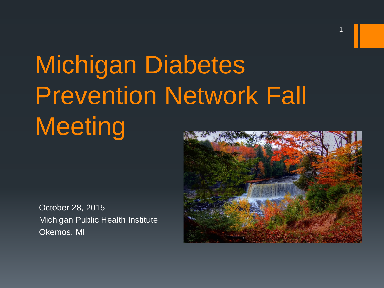# Michigan Diabetes Prevention Network Fall **Meeting**

October 28, 2015 Michigan Public Health Institute Okemos, MI



1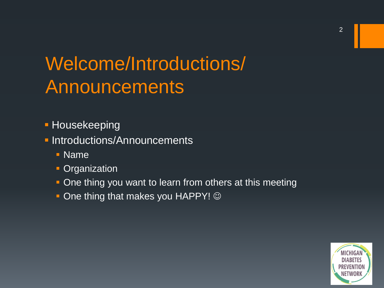### Welcome/Introductions/ Announcements

- **Housekeeping**
- **Introductions/Announcements** 
	- Name
	- **Crganization**
	- One thing you want to learn from others at this meeting
	- $\blacksquare$  One thing that makes you HAPPY!  $\odot$

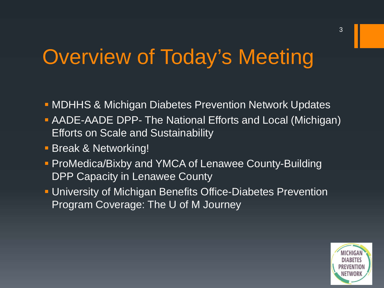### Overview of Today's Meeting

- **MDHHS & Michigan Diabetes Prevention Network Updates**
- AADE-AADE DPP- The National Efforts and Local (Michigan) Efforts on Scale and Sustainability
- **Break & Networking!**
- **ProMedica/Bixby and YMCA of Lenawee County-Building** DPP Capacity in Lenawee County
- University of Michigan Benefits Office-Diabetes Prevention Program Coverage: The U of M Journey

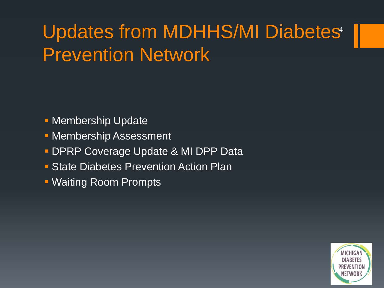### Updates from MDHHS/MI Diabetes<sup>4</sup> Prevention Network

- **Membership Update**
- **Membership Assessment**
- **DPRP Coverage Update & MI DPP Data**
- **State Diabetes Prevention Action Plan**
- Waiting Room Prompts

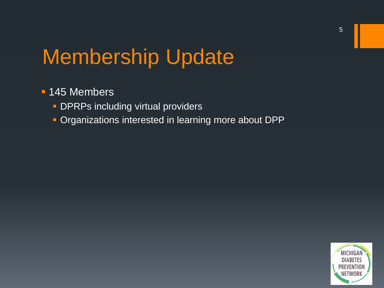### Membership Update

#### **145 Members**

- **DPRPs including virtual providers**
- **Organizations interested in learning more about DPP**

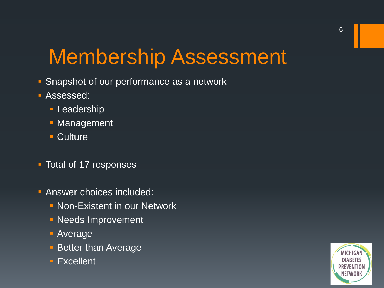## Membership Assessment

- **Snapshot of our performance as a network**
- Assessed:
	- **Leadership**
	- **Management**
	- **Culture**
- **Total of 17 responses**
- **Answer choices included:** 
	- **Non-Existent in our Network**
	- **Needs Improvement**
	- Average
	- **Better than Average**
	- **Excellent**

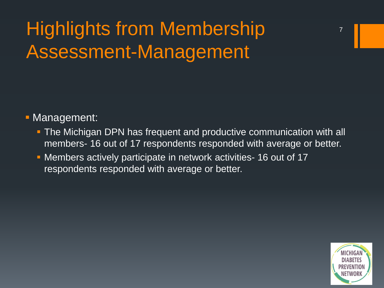### Highlights from Membership Assessment-Management

#### **- Management:**

- **The Michigan DPN has frequent and productive communication with all** members- 16 out of 17 respondents responded with average or better.
- Members actively participate in network activities- 16 out of 17 respondents responded with average or better.

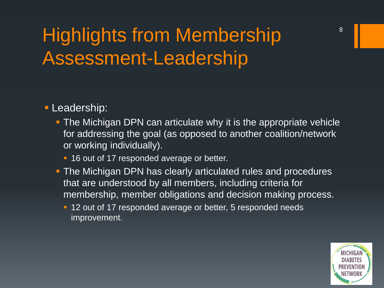### Highlights from Membership Assessment-Leadership

#### **Leadership:**

- **The Michigan DPN can articulate why it is the appropriate vehicle** for addressing the goal (as opposed to another coalition/network or working individually).
	- **16 out of 17 responded average or better.**
- **The Michigan DPN has clearly articulated rules and procedures** that are understood by all members, including criteria for membership, member obligations and decision making process.
	- <sup>1</sup> 12 out of 17 responded average or better, 5 responded needs improvement.

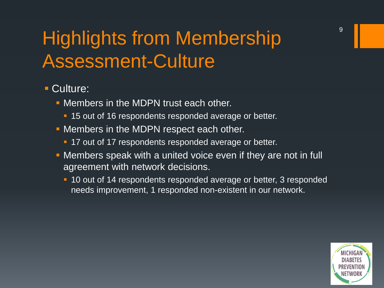### Highlights from Membership Assessment-Culture

#### Culture:

- Members in the MDPN trust each other.
	- <sup>1</sup> 15 out of 16 respondents responded average or better.
- Members in the MDPN respect each other.
	- <sup>1</sup> 17 out of 17 respondents responded average or better.
- **Members speak with a united voice even if they are not in full** agreement with network decisions.
	- **10 out of 14 respondents responded average or better, 3 responded** needs improvement, 1 responded non-existent in our network.

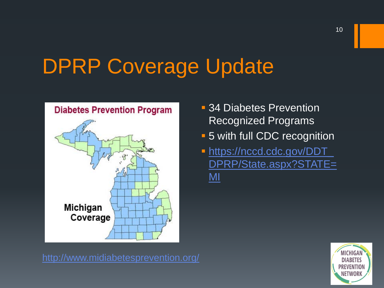## DPRP Coverage Update



- **34 Diabetes Prevention** Recognized Programs
- **-5 with full CDC recognition**
- [https://nccd.cdc.gov/DDT\\_](https://nccd.cdc.gov/DDT_DPRP/State.aspx?STATE=MI) [DPRP/State.aspx?STATE=](https://nccd.cdc.gov/DDT_DPRP/State.aspx?STATE=MI) [MI](https://nccd.cdc.gov/DDT_DPRP/State.aspx?STATE=MI)

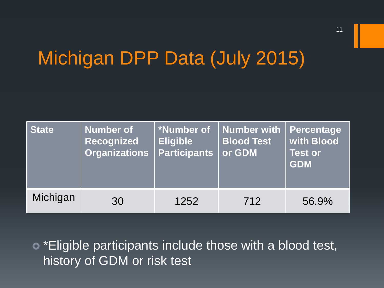### Michigan DPP Data (July 2015)

| <b>State</b> | <b>Number of</b><br>Recognized<br><b>Organizations</b> | *Number of<br><b>Eligible</b><br><b>Participants</b> | Number with<br><b>Blood Test</b><br>or GDM | Percentage<br>with Blood<br><b>Test or</b><br><b>GDM</b> |
|--------------|--------------------------------------------------------|------------------------------------------------------|--------------------------------------------|----------------------------------------------------------|
| Michigan     | 30                                                     | 1252                                                 | 712                                        | 56.9%                                                    |

 \*Eligible participants include those with a blood test, history of GDM or risk test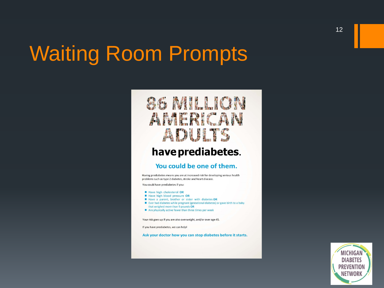#### Waiting Room Prompts

#### 86 MILLION AMERICAN ADULTS

#### have prediabetes.

#### You could be one of them.

Having prediabetes means you are at increased risk for developing serious health problems such as type 2 diabetes, stroke and heart disease.

You could have prediabetes if you:

- Have high cholesterol OR
- Have high blood pressure OR
- Have a parent, brother or sister with diabetes OR
- Ever had diabetes while pregnant (gestational diabetes) or gave birth to a baby that weighed more than 9 pounds OR
- Are physically active fewer than three times per week

Your risk goes up if you are also overweight, and/or over age 45.

If you have prediabetes, we can help!

Ask your doctor how you can stop diabetes before it starts.

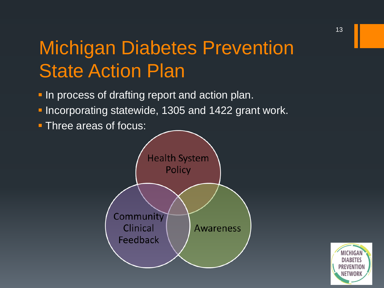#### Michigan Diabetes Prevention State Action Plan

- **In process of drafting report and action plan.**
- **Incorporating statewide, 1305 and 1422 grant work.**
- **Three areas of focus:**